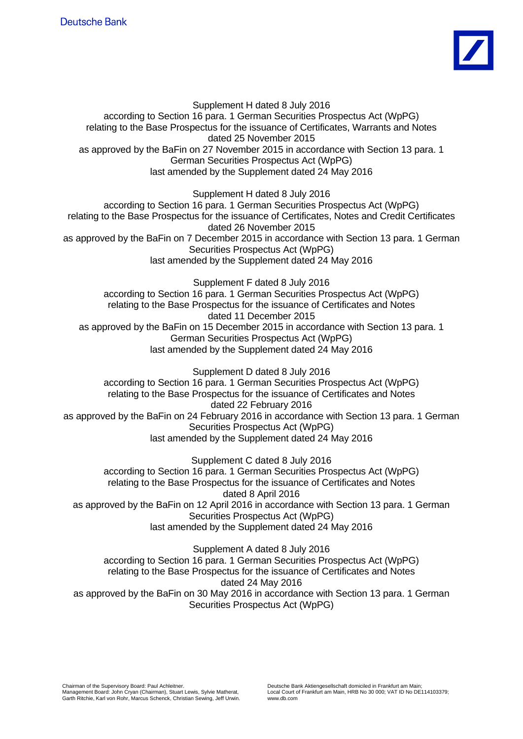

Supplement H dated 8 July 2016 according to Section 16 para. 1 German Securities Prospectus Act (WpPG) relating to the Base Prospectus for the issuance of Certificates, Warrants and Notes dated 25 November 2015 as approved by the BaFin on 27 November 2015 in accordance with Section 13 para. 1 German Securities Prospectus Act (WpPG) last amended by the Supplement dated 24 May 2016

Supplement H dated 8 July 2016

according to Section 16 para. 1 German Securities Prospectus Act (WpPG) relating to the Base Prospectus for the issuance of Certificates, Notes and Credit Certificates dated 26 November 2015 as approved by the BaFin on 7 December 2015 in accordance with Section 13 para. 1 German Securities Prospectus Act (WpPG) last amended by the Supplement dated 24 May 2016

Supplement F dated 8 July 2016 according to Section 16 para. 1 German Securities Prospectus Act (WpPG) relating to the Base Prospectus for the issuance of Certificates and Notes dated 11 December 2015 as approved by the BaFin on 15 December 2015 in accordance with Section 13 para. 1 German Securities Prospectus Act (WpPG) last amended by the Supplement dated 24 May 2016

Supplement D dated 8 July 2016 according to Section 16 para. 1 German Securities Prospectus Act (WpPG) relating to the Base Prospectus for the issuance of Certificates and Notes dated 22 February 2016 as approved by the BaFin on 24 February 2016 in accordance with Section 13 para. 1 German Securities Prospectus Act (WpPG) last amended by the Supplement dated 24 May 2016

Supplement C dated 8 July 2016 according to Section 16 para. 1 German Securities Prospectus Act (WpPG) relating to the Base Prospectus for the issuance of Certificates and Notes dated 8 April 2016 as approved by the BaFin on 12 April 2016 in accordance with Section 13 para. 1 German Securities Prospectus Act (WpPG) last amended by the Supplement dated 24 May 2016

Supplement A dated 8 July 2016 according to Section 16 para. 1 German Securities Prospectus Act (WpPG) relating to the Base Prospectus for the issuance of Certificates and Notes dated 24 May 2016 as approved by the BaFin on 30 May 2016 in accordance with Section 13 para. 1 German Securities Prospectus Act (WpPG)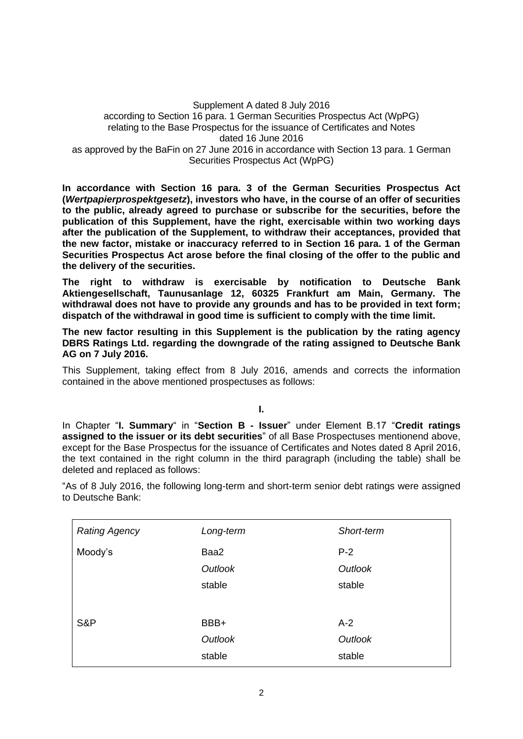## Supplement A dated 8 July 2016 according to Section 16 para. 1 German Securities Prospectus Act (WpPG) relating to the Base Prospectus for the issuance of Certificates and Notes dated 16 June 2016 as approved by the BaFin on 27 June 2016 in accordance with Section 13 para. 1 German Securities Prospectus Act (WpPG)

**In accordance with Section 16 para. 3 of the German Securities Prospectus Act (***Wertpapierprospektgesetz***), investors who have, in the course of an offer of securities to the public, already agreed to purchase or subscribe for the securities, before the publication of this Supplement, have the right, exercisable within two working days after the publication of the Supplement, to withdraw their acceptances, provided that the new factor, mistake or inaccuracy referred to in Section 16 para. 1 of the German Securities Prospectus Act arose before the final closing of the offer to the public and the delivery of the securities.**

**The right to withdraw is exercisable by notification to Deutsche Bank Aktiengesellschaft, Taunusanlage 12, 60325 Frankfurt am Main, Germany. The withdrawal does not have to provide any grounds and has to be provided in text form; dispatch of the withdrawal in good time is sufficient to comply with the time limit.**

**The new factor resulting in this Supplement is the publication by the rating agency DBRS Ratings Ltd. regarding the downgrade of the rating assigned to Deutsche Bank AG on 7 July 2016.** 

This Supplement, taking effect from 8 July 2016, amends and corrects the information contained in the above mentioned prospectuses as follows:

**I.**

In Chapter "**I. Summary**" in "**Section B - Issuer**" under Element B.17 "**Credit ratings assigned to the issuer or its debt securities**" of all Base Prospectuses mentionend above, except for the Base Prospectus for the issuance of Certificates and Notes dated 8 April 2016, the text contained in the right column in the third paragraph (including the table) shall be deleted and replaced as follows:

"As of 8 July 2016, the following long-term and short-term senior debt ratings were assigned to Deutsche Bank:

| <b>Rating Agency</b> | Long-term | Short-term |  |
|----------------------|-----------|------------|--|
| Moody's              | Baa2      | $P-2$      |  |
|                      | Outlook   | Outlook    |  |
|                      | stable    | stable     |  |
|                      |           |            |  |
| S&P                  | BBB+      | $A-2$      |  |
|                      | Outlook   | Outlook    |  |
|                      | stable    | stable     |  |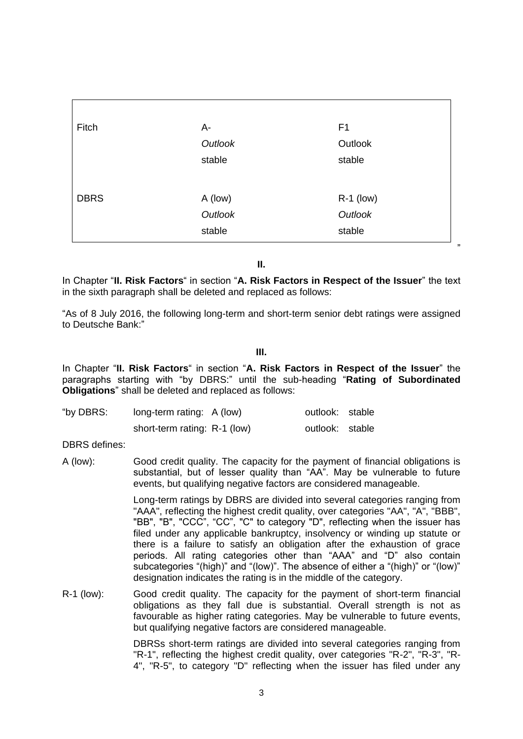| A-<br>Outlook<br>stable | F <sub>1</sub><br>Outlook<br>stable |
|-------------------------|-------------------------------------|
|                         |                                     |
|                         |                                     |
|                         |                                     |
|                         |                                     |
| A (low)                 | $R-1$ (low)                         |
| Outlook                 | Outlook                             |
|                         | stable                              |
|                         | stable                              |

**II.**

In Chapter "**II. Risk Factors**" in section "**A. Risk Factors in Respect of the Issuer**" the text in the sixth paragraph shall be deleted and replaced as follows:

"As of 8 July 2016, the following long-term and short-term senior debt ratings were assigned to Deutsche Bank:"

**III.**

In Chapter "**II. Risk Factors**" in section "**A. Risk Factors in Respect of the Issuer**" the paragraphs starting with "by DBRS:" until the sub-heading "**Rating of Subordinated Obligations**" shall be deleted and replaced as follows:

| "by DBRS: | long-term rating: A (low)    | outlook: stable |  |
|-----------|------------------------------|-----------------|--|
|           | short-term rating: R-1 (low) | outlook: stable |  |

DBRS defines:

A (low): Good credit quality. The capacity for the payment of financial obligations is substantial, but of lesser quality than "AA". May be vulnerable to future events, but qualifying negative factors are considered manageable.

> Long-term ratings by DBRS are divided into several categories ranging from "AAA", reflecting the highest credit quality, over categories "AA", "A", "BBB", "BB", "B", "CCC", "CC", "C" to category "D", reflecting when the issuer has filed under any applicable bankruptcy, insolvency or winding up statute or there is a failure to satisfy an obligation after the exhaustion of grace periods. All rating categories other than "AAA" and "D" also contain subcategories "(high)" and "(low)". The absence of either a "(high)" or "(low)" designation indicates the rating is in the middle of the category.

R-1 (low): Good credit quality. The capacity for the payment of short-term financial obligations as they fall due is substantial. Overall strength is not as favourable as higher rating categories. May be vulnerable to future events, but qualifying negative factors are considered manageable.

> DBRSs short-term ratings are divided into several categories ranging from "R-1", reflecting the highest credit quality, over categories "R-2", "R-3", "R-4", "R-5", to category "D" reflecting when the issuer has filed under any